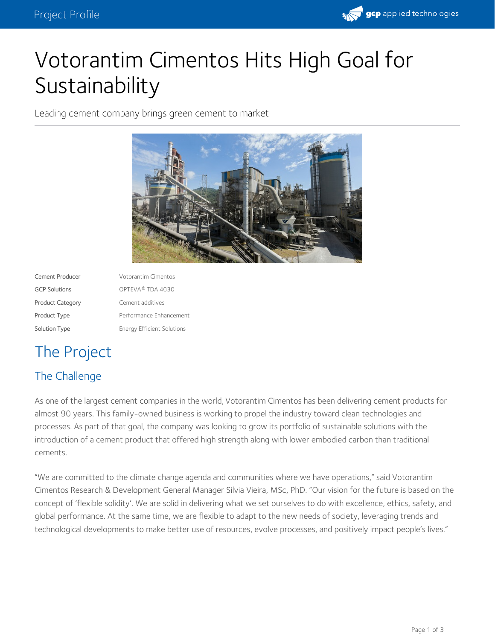

# Votorantim Cimentos Hits High Goal for **Sustainability**

Leading cement company brings green cement to market



| Cement Producer         | Votorantim Cimentos               |
|-------------------------|-----------------------------------|
| <b>GCP Solutions</b>    | OPTEVA <sup>®</sup> TDA 4030      |
| <b>Product Category</b> | Cement additives                  |
| Product Type            | Performance Enhancement           |
| Solution Type           | <b>Energy Efficient Solutions</b> |

## The Project

## The Challenge

As one of the largest cement companies in the world, [Votorantim](http://www.votorantimcimentos.com/vc/vp/c/html/welcomepage/welcome-en.html) Cimentos has been delivering cement products for almost 90 years. This [family-owned](http://www.votorantimcimentos.com/en-US/media-center/news/Pages/Our-2030-Sustainability-Commitments.aspx) business is working to propel the industry toward clean technologies and processes. As part of that goal, the company was looking to grow its portfolio of sustainable solutions with the introduction of a cement product that offered high strength along with lower embodied carbon than traditional cements.

"We are committed to the climate change agenda and communities where we have operations," said Votorantim Cimentos Research & Development General Manager Silvia Vieira, MSc, PhD. "Our vision for the future is based on the concept of 'flexible solidity'. We are solid in delivering what we set ourselves to do with excellence, ethics, safety, and global performance. At the same time, we are flexible to adapt to the new needs of society, leveraging trends and technological developments to make better use of resources, evolve processes, and positively impact people's lives."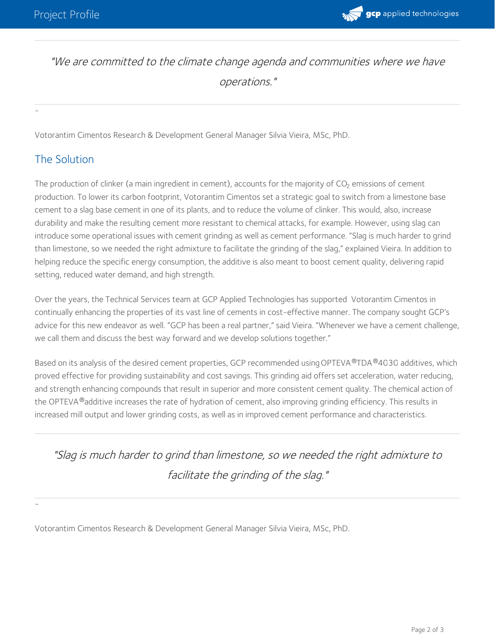

## "We are committed to the climate change agenda and communities where we have operations."

Votorantim Cimentos Research & Development General Manager Silvia Vieira, MSc, PhD.

## The Solution

-

-

The production of clinker (a main ingredient in cement), accounts for the majority of CO<sub>2</sub> emissions of cement production. To lower its carbon footprint, Votorantim Cimentos set a strategic goal to switch from a limestone base cement to a slag base cement in one of its plants, and to reduce the volume of clinker. This would, also, increase durability and make the resulting cement more resistant to chemical attacks, for example. However, using slag can introduce some operational issues with cement grinding as well as cement performance. "Slag is much harder to grind than limestone, so we needed the right admixture to facilitate the grinding of the slag," explained Vieira. In addition to helping reduce the specific energy consumption, the additive is also meant to boost cement quality, delivering rapid setting, reduced water demand, and high strength.

Over the years, the Technical Services team at GCP Applied Technologies has supported Votorantim Cimentos in continually enhancing the properties of its vast line of cements in cost-effective manner. The company sought GCP's advice for this new endeavor as well. "GCP has been a real partner," said Vieira. "Whenever we have a cement challenge, we call them and discuss the best way forward and we develop solutions together."

Based on its analysis of the desired cement properties, GCP recommended using [OPTEVA](https://ca.gcpat.com/solutions/products/opteva-quality-improvers/opteva-tda-quality-improvers)®TDA®4030 additives, which proved effective for providing sustainability and cost savings. This grinding aid offers set acceleration, water reducing, and strength enhancing compounds that result in superior and more consistent cement quality. The chemical action of the OPTEVA®additive increases the rate of hydration of cement, also improving grinding efficiency. This results in increased mill output and lower grinding costs, as well as in improved cement performance and characteristics.

"Slag is much harder to grind than limestone, so we needed the right admixture to facilitate the grinding of the slag."

Votorantim Cimentos Research & Development General Manager Silvia Vieira, MSc, PhD.